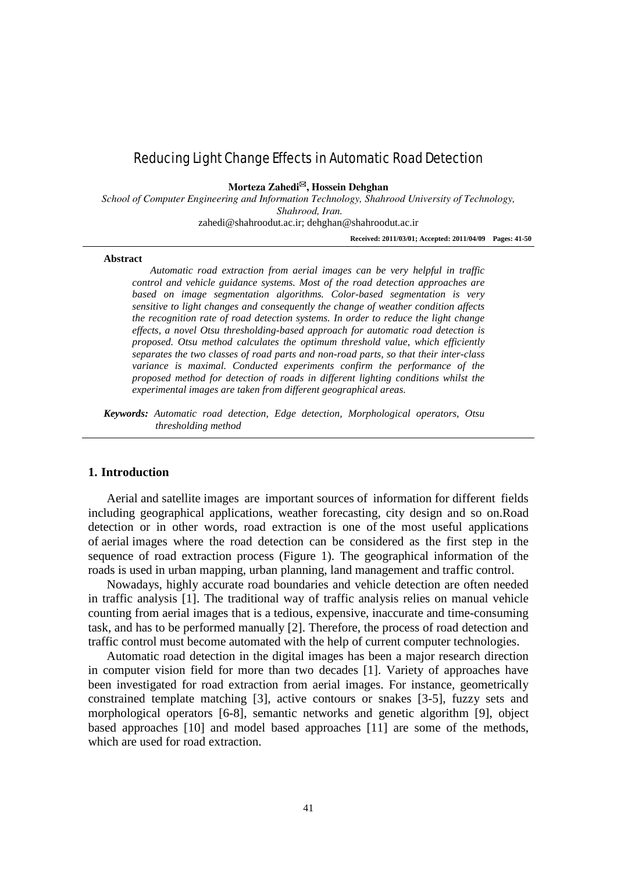# Reducing Light Change Effects in Automatic Road Detection

**Morteza Zahedi, Hossein Dehghan**

*School of Computer Engineering and Information Technology, Shahrood University of Technology, Shahrood, Iran.*

zahedi@shahroodut.ac.ir; dehghan@shahroodut.ac.ir

**Received: 2011/03/01; Accepted: 2011/04/09 Pages: 41-50**

#### **Abstract**

*Automatic road extraction from aerial images can be very helpful in traffic control and vehicle guidance systems. Most of the road detection approaches are based on image segmentation algorithms. Color-based segmentation is very sensitive to light changes and consequently the change of weather condition affects the recognition rate of road detection systems. In order to reduce the light change effects, a novel Otsu thresholding-based approach for automatic road detection is proposed. Otsu method calculates the optimum threshold value, which efficiently separates the two classes of road parts and non-road parts, so that their inter-class variance is maximal. Conducted experiments confirm the performance of the proposed method for detection of roads in different lighting conditions whilst the experimental images are taken from different geographical areas.*

*Keywords: Automatic road detection, Edge detection, Morphological operators, Otsu thresholding method*

#### **1. Introduction**

Aerial and satellite images are important sources of information for different fields including geographical applications, weather forecasting, city design and so on.Road detection or in other words, road extraction is one of the most useful applications of aerial images where the road detection can be considered as the first step in the sequence of road extraction process (Figure 1). The geographical information of the roads is used in urban mapping, urban planning, land management and traffic control.

Nowadays, highly accurate road boundaries and vehicle detection are often needed in traffic analysis [1]. The traditional way of traffic analysis relies on manual vehicle counting from aerial images that is a tedious, expensive, inaccurate and time-consuming task, and has to be performed manually [2]. Therefore, the process of road detection and traffic control must become automated with the help of current computer technologies.

Automatic road detection in the digital images has been a major research direction in computer vision field for more than two decades [1]. Variety of approaches have been investigated for road extraction from aerial images. For instance, geometrically constrained template matching [3], active contours or snakes [3-5], fuzzy sets and morphological operators [6-8], semantic networks and genetic algorithm [9], object based approaches [10] and model based approaches [11] are some of the methods, which are used for road extraction.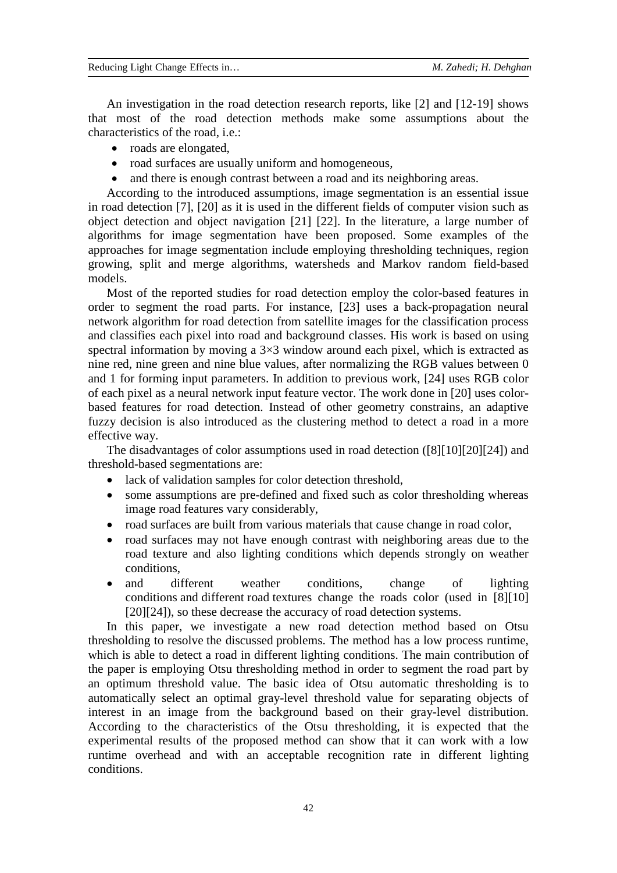An investigation in the road detection research reports, like [2] and [12-19] shows that most of the road detection methods make some assumptions about the characteristics of the road, i.e.:

- roads are elongated,
- road surfaces are usually uniform and homogeneous,
- and there is enough contrast between a road and its neighboring areas.

According to the introduced assumptions, image segmentation is an essential issue in road detection [7], [20] as it is used in the different fields of computer vision such as object detection and object navigation [21] [22]. In the literature, a large number of algorithms for image segmentation have been proposed. Some examples of the approaches for image segmentation include employing thresholding techniques, region growing, split and merge algorithms, watersheds and Markov random field-based models.

Most of the reported studies for road detection employ the color-based features in order to segment the road parts. For instance, [23] uses a back-propagation neural network algorithm for road detection from satellite images for the classification process and classifies each pixel into road and background classes. His work is based on using spectral information by moving a  $3\times3$  window around each pixel, which is extracted as nine red, nine green and nine blue values, after normalizing the RGB values between 0 and 1 for forming input parameters. In addition to previous work, [24] uses RGB color of each pixel as a neural network input feature vector. The work done in [20] uses colorbased features for road detection. Instead of other geometry constrains, an adaptive fuzzy decision is also introduced as the clustering method to detect a road in a more effective way.

The disadvantages of color assumptions used in road detection ([8][10][20][24]) and threshold-based segmentations are:

- lack of validation samples for color detection threshold,
- some assumptions are pre-defined and fixed such as color thresholding whereas image road features vary considerably,
- road surfaces are built from various materials that cause change in road color,
- road surfaces may not have enough contrast with neighboring areas due to the road texture and also lighting conditions which depends strongly on weather conditions,
- and different weather conditions, change of lighting conditions and different road textures change the roads color (used in [8][10] [20][24]), so these decrease the accuracy of road detection systems.

In this paper, we investigate a new road detection method based on Otsu thresholding to resolve the discussed problems. The method has a low process runtime, which is able to detect a road in different lighting conditions. The main contribution of the paper is employing Otsu thresholding method in order to segment the road part by an optimum threshold value. The basic idea of Otsu automatic thresholding is to automatically select an optimal gray-level threshold value for separating objects of interest in an image from the background based on their gray-level distribution. According to the characteristics of the Otsu thresholding, it is expected that the experimental results of the proposed method can show that it can work with a low runtime overhead and with an acceptable recognition rate in different lighting conditions.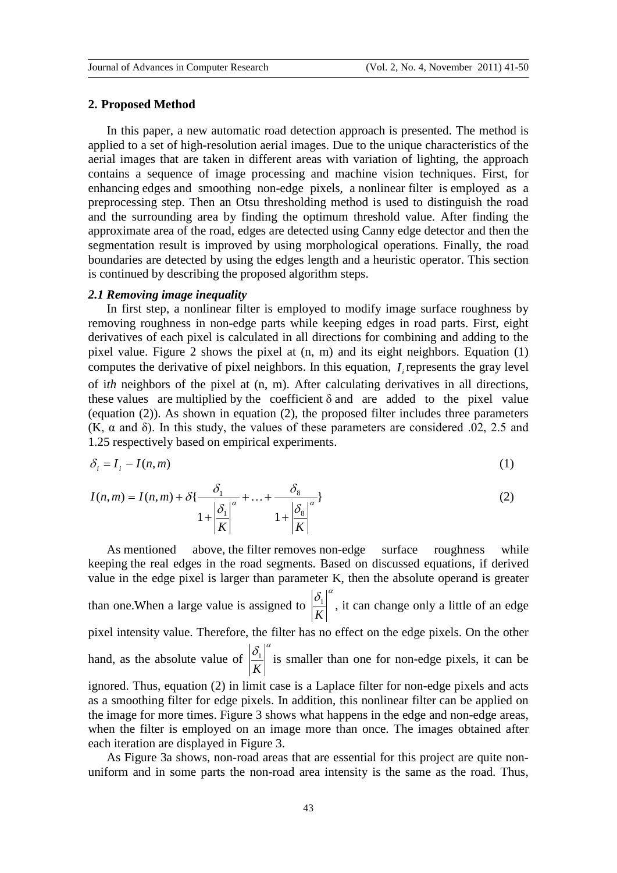#### **2. Proposed Method**

In this paper, a new automatic road detection approach is presented. The method is applied to a set of high-resolution aerial images. Due to the unique characteristics of the aerial images that are taken in different areas with variation of lighting, the approach contains a sequence of image processing and machine vision techniques. First, for enhancing edges and smoothing non-edge pixels, a nonlinear filter is employed as a preprocessing step. Then an Otsu thresholding method is used to distinguish the road and the surrounding area by finding the optimum threshold value. After finding the approximate area of the road, edges are detected using Canny edge detector and then the segmentation result is improved by using morphological operations. Finally, the road boundaries are detected by using the edges length and a heuristic operator. This section is continued by describing the proposed algorithm steps.

## *2.1 Removing image inequality*

In first step, a nonlinear filter is employed to modify image surface roughness by removing roughness in non-edge parts while keeping edges in road parts. First, eight derivatives of each pixel is calculated in all directions for combining and adding to the pixel value. Figure 2 shows the pixel at (n, m) and its eight neighbors. Equation (1) computes the derivative of pixel neighbors. In this equation, *<sup>i</sup> I* represents the gray level of i*th* neighbors of the pixel at (n, m). After calculating derivatives in all directions, these values are multiplied by the coefficient  $\delta$  and are added to the pixel value (equation (2)). As shown in equation (2), the proposed filter includes three parameters (K,  $\alpha$  and δ). In this study, the values of these parameters are considered 0.02, 2.5 and 1.25 respectively based on empirical experiments.

$$
\delta_i = I_i - I(n, m) \tag{1}
$$

$$
I(n,m) = I(n,m) + \delta\left\{\frac{\delta_1}{1 + \left|\frac{\delta_1}{K}\right|^\alpha} + \ldots + \frac{\delta_8}{1 + \left|\frac{\delta_8}{K}\right|^\alpha}\right\}
$$
(2)

As mentioned above, the filter removes non-edge surface roughness while keeping the real edges in the road segments. Based on discussed equations, if derived value in the edge pixel is larger than parameter K, then the absolute operand is greater than one.When a large value is assigned to  $\delta$ <sup>a</sup> *K*  $\frac{1}{5}$ , it can change only a little of an edge pixel intensity value. Therefore, the filter has no effect on the edge pixels. On the other hand, as the absolute value of  $\delta$ <sup>a</sup> *K*  $\frac{1}{\epsilon}$  is smaller than one for non-edge pixels, it can be ignored. Thus, equation (2) in limit case is a Laplace filter for non-edge pixels and acts as a smoothing filter for edge pixels. In addition, this nonlinear filter can be applied on the image for more times. Figure 3 shows what happens in the edge and non-edge areas, when the filter is employed on an image more than once. The images obtained after each iteration are displayed in Figure 3.

As Figure 3a shows, non-road areas that are essential for this project are quite nonuniform and in some parts the non-road area intensity is the same as the road. Thus,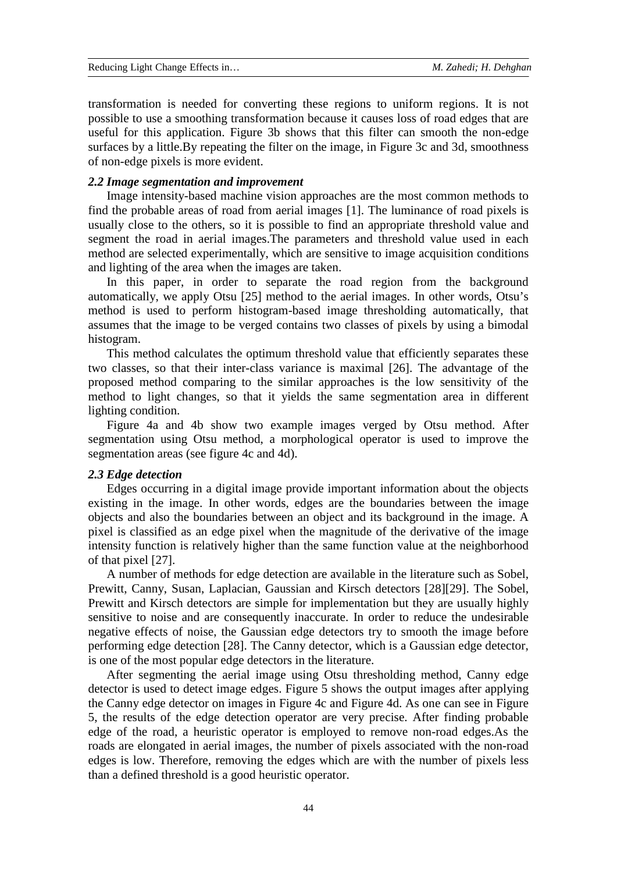transformation is needed for converting these regions to uniform regions. It is not possible to use a smoothing transformation because it causes loss of road edges that are useful for this application. Figure 3b shows that this filter can smooth the non-edge surfaces by a little.By repeating the filter on the image, in Figure 3c and 3d, smoothness of non-edge pixels is more evident.

#### *2.2 Image segmentation and improvement*

Image intensity-based machine vision approaches are the most common methods to find the probable areas of road from aerial images [1]. The luminance of road pixels is usually close to the others, so it is possible to find an appropriate threshold value and segment the road in aerial images.The parameters and threshold value used in each method are selected experimentally, which are sensitive to image acquisition conditions and lighting of the area when the images are taken.

In this paper, in order to separate the road region from the background automatically, we apply Otsu [25] method to the aerial images. In other words, Otsu's method is used to perform histogram-based image thresholding automatically, that assumes that the image to be verged contains two classes of pixels by using a bimodal histogram.

This method calculates the optimum threshold value that efficiently separates these two classes, so that their inter-class variance is maximal [26]. The advantage of the proposed method comparing to the similar approaches is the low sensitivity of the method to light changes, so that it yields the same segmentation area in different lighting condition.

Figure 4a and 4b show two example images verged by Otsu method. After segmentation using Otsu method, a morphological operator is used to improve the segmentation areas (see figure 4c and 4d).

## *2.3 Edge detection*

Edges occurring in a digital image provide important information about the objects existing in the image. In other words, edges are the boundaries between the image objects and also the boundaries between an object and its background in the image. A pixel is classified as an edge pixel when the magnitude of the derivative of the image intensity function is relatively higher than the same function value at the neighborhood of that pixel [27].

A number of methods for edge detection are available in the literature such as Sobel, Prewitt, Canny, Susan, Laplacian, Gaussian and Kirsch detectors [28][29]. The Sobel, Prewitt and Kirsch detectors are simple for implementation but they are usually highly sensitive to noise and are consequently inaccurate. In order to reduce the undesirable negative effects of noise, the Gaussian edge detectors try to smooth the image before performing edge detection [28]. The Canny detector, which is a Gaussian edge detector, is one of the most popular edge detectors in the literature.

After segmenting the aerial image using Otsu thresholding method, Canny edge detector is used to detect image edges. Figure 5 shows the output images after applying the Canny edge detector on images in Figure 4c and Figure 4d. As one can see in Figure 5, the results of the edge detection operator are very precise. After finding probable edge of the road, a heuristic operator is employed to remove non-road edges.As the roads are elongated in aerial images, the number of pixels associated with the non-road edges is low. Therefore, removing the edges which are with the number of pixels less than a defined threshold is a good heuristic operator.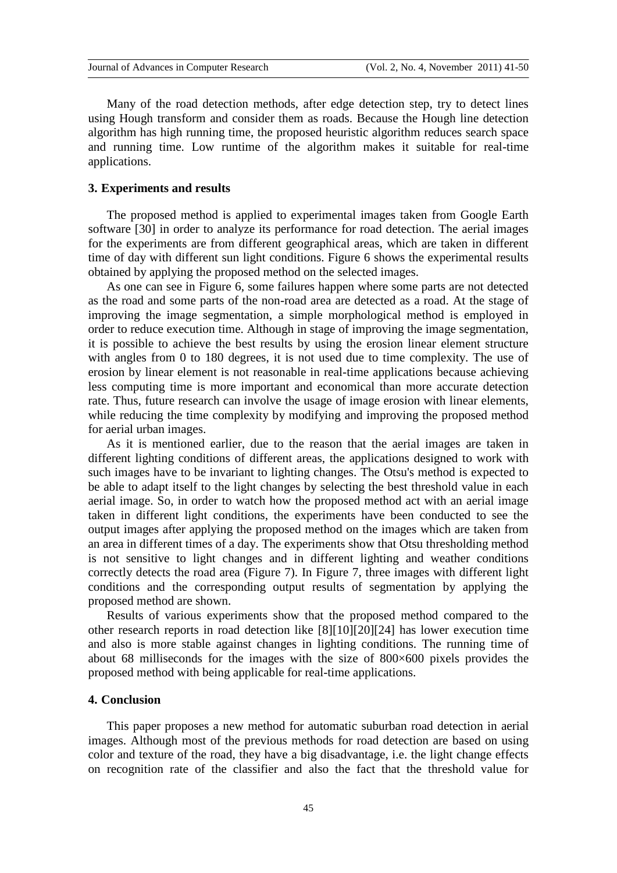Many of the road detection methods, after edge detection step, try to detect lines using Hough transform and consider them as roads. Because the Hough line detection algorithm has high running time, the proposed heuristic algorithm reduces search space and running time. Low runtime of the algorithm makes it suitable for real-time applications.

#### **3. Experiments and results**

The proposed method is applied to experimental images taken from Google Earth software [30] in order to analyze its performance for road detection. The aerial images for the experiments are from different geographical areas, which are taken in different time of day with different sun light conditions. Figure 6 shows the experimental results obtained by applying the proposed method on the selected images.

As one can see in Figure 6, some failures happen where some parts are not detected as the road and some parts of the non-road area are detected as a road. At the stage of improving the image segmentation, a simple morphological method is employed in order to reduce execution time. Although in stage of improving the image segmentation, it is possible to achieve the best results by using the erosion linear element structure with angles from 0 to 180 degrees, it is not used due to time complexity. The use of erosion by linear element is not reasonable in real-time applications because achieving less computing time is more important and economical than more accurate detection rate. Thus, future research can involve the usage of image erosion with linear elements, while reducing the time complexity by modifying and improving the proposed method for aerial urban images.

As it is mentioned earlier, due to the reason that the aerial images are taken in different lighting conditions of different areas, the applications designed to work with such images have to be invariant to lighting changes. The Otsu's method is expected to be able to adapt itself to the light changes by selecting the best threshold value in each aerial image. So, in order to watch how the proposed method act with an aerial image taken in different light conditions, the experiments have been conducted to see the output images after applying the proposed method on the images which are taken from an area in different times of a day. The experiments show that Otsu thresholding method is not sensitive to light changes and in different lighting and weather conditions correctly detects the road area (Figure 7). In Figure 7, three images with different light conditions and the corresponding output results of segmentation by applying the proposed method are shown.

Results of various experiments show that the proposed method compared to the other research reports in road detection like [8][10][20][24] has lower execution time and also is more stable against changes in lighting conditions. The running time of about 68 milliseconds for the images with the size of 800×600 pixels provides the proposed method with being applicable for real-time applications.

## **4. Conclusion**

This paper proposes a new method for automatic suburban road detection in aerial images. Although most of the previous methods for road detection are based on using color and texture of the road, they have a big disadvantage, i.e. the light change effects on recognition rate of the classifier and also the fact that the threshold value for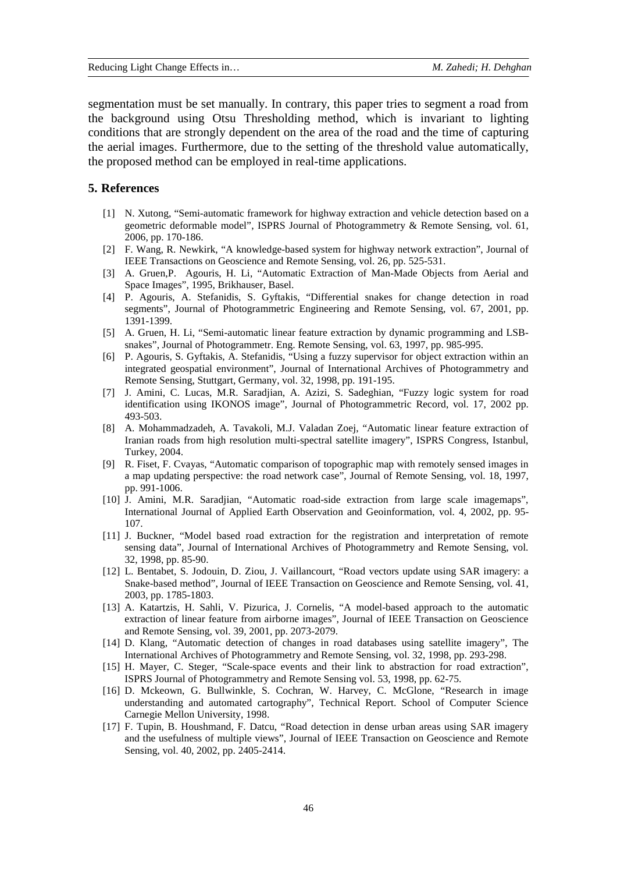segmentation must be set manually. In contrary, this paper tries to segment a road from the background using Otsu Thresholding method, which is invariant to lighting conditions that are strongly dependent on the area of the road and the time of capturing the aerial images. Furthermore, due to the setting of the threshold value automatically, the proposed method can be employed in real-time applications.

#### **5. References**

- [1] N. Xutong, "Semi-automatic framework for highway extraction and vehicle detection based on a geometric deformable model", ISPRS Journal of Photogrammetry & Remote Sensing, vol. 61, 2006, pp. 170-186.
- [2] F. Wang, R. Newkirk, "A knowledge-based system for highway network extraction", Journal of IEEE Transactions on Geoscience and Remote Sensing, vol. 26, pp. 525-531.
- [3] A. Gruen,P. Agouris, H. Li, "Automatic Extraction of Man-Made Objects from Aerial and Space Images", 1995, Brikhauser, Basel.
- [4] P. Agouris, A. Stefanidis, S. Gyftakis, "Differential snakes for change detection in road segments", Journal of Photogrammetric Engineering and Remote Sensing, vol. 67, 2001, pp. 1391-1399.
- [5] A. Gruen, H. Li, "Semi-automatic linear feature extraction by dynamic programming and LSBsnakes", Journal of Photogrammetr. Eng. Remote Sensing, vol. 63, 1997, pp. 985-995.
- [6] P. Agouris, S. Gyftakis, A. Stefanidis, "Using a fuzzy supervisor for object extraction within an integrated geospatial environment", Journal of International Archives of Photogrammetry and Remote Sensing, Stuttgart, Germany, vol. 32, 1998, pp. 191-195.
- [7] J. Amini, C. Lucas, M.R. Saradjian, A. Azizi, S. Sadeghian, "Fuzzy logic system for road identification using IKONOS image", Journal of Photogrammetric Record, vol. 17, 2002 pp. 493-503.
- [8] A. Mohammadzadeh, A. Tavakoli, M.J. Valadan Zoej, "Automatic linear feature extraction of Iranian roads from high resolution multi-spectral satellite imagery", ISPRS Congress, Istanbul, Turkey, 2004.
- [9] R. Fiset, F. Cvayas, "Automatic comparison of topographic map with remotely sensed images in a map updating perspective: the road network case", Journal of Remote Sensing, vol. 18, 1997, pp. 991-1006.
- [10] J. Amini, M.R. Saradjian, "Automatic road-side extraction from large scale imagemaps", International Journal of Applied Earth Observation and Geoinformation, vol. 4, 2002, pp. 95- 107.
- [11] J. Buckner, "Model based road extraction for the registration and interpretation of remote sensing data", Journal of International Archives of Photogrammetry and Remote Sensing, vol. 32, 1998, pp. 85-90.
- [12] L. Bentabet, S. Jodouin, D. Ziou, J. Vaillancourt, "Road vectors update using SAR imagery: a Snake-based method", Journal of IEEE Transaction on Geoscience and Remote Sensing, vol. 41, 2003, pp. 1785-1803.
- [13] A. Katartzis, H. Sahli, V. Pizurica, J. Cornelis, "A model-based approach to the automatic extraction of linear feature from airborne images", Journal of IEEE Transaction on Geoscience and Remote Sensing, vol. 39, 2001, pp. 2073-2079.
- [14] D. Klang, "Automatic detection of changes in road databases using satellite imagery", The International Archives of Photogrammetry and Remote Sensing, vol. 32, 1998, pp. 293-298.
- [15] H. Mayer, C. Steger, "Scale-space events and their link to abstraction for road extraction", ISPRS Journal of Photogrammetry and Remote Sensing vol. 53, 1998, pp. 62-75.
- [16] D. Mckeown, G. Bullwinkle, S. Cochran, W. Harvey, C. McGlone, "Research in image understanding and automated cartography", Technical Report. School of Computer Science Carnegie Mellon University, 1998.
- [17] F. Tupin, B. Houshmand, F. Datcu, "Road detection in dense urban areas using SAR imagery and the usefulness of multiple views", Journal of IEEE Transaction on Geoscience and Remote Sensing, vol. 40, 2002, pp. 2405-2414.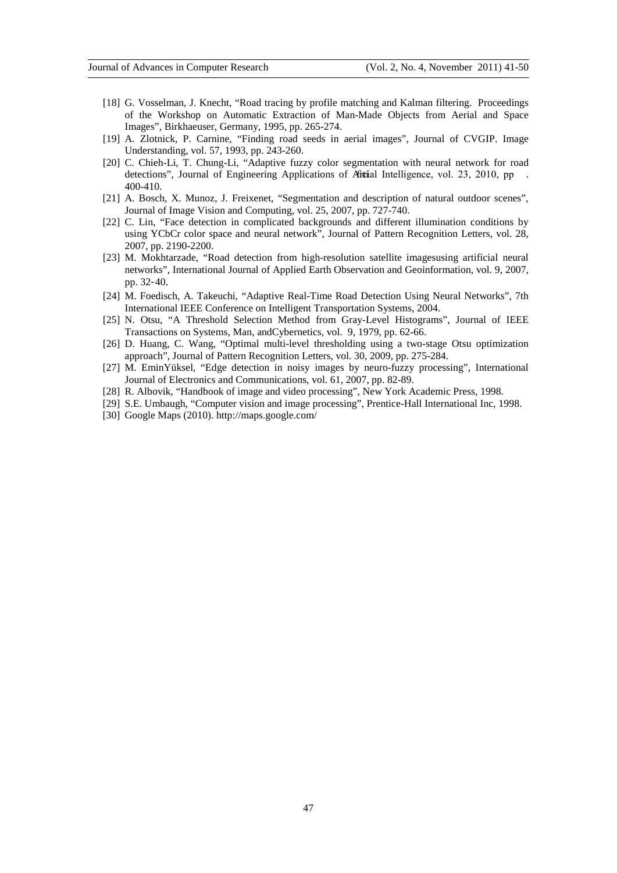- [18] G. Vosselman, J. Knecht, "Road tracing by profile matching and Kalman filtering. Proceedings of the Workshop on Automatic Extraction of Man-Made Objects from Aerial and Space Images", Birkhaeuser, Germany, 1995, pp. 265-274.
- [19] A. Zlotnick, P. Carnine, "Finding road seeds in aerial images", Journal of CVGIP. Image Understanding, vol. 57, 1993, pp. 243-260.
- [20] C. Chieh-Li, T. Chung-Li, "Adaptive fuzzy color segmentation with neural network for road detections", Journal of Engineering Applications of Artical Intelligence, vol. 23, 2010, pp 400-410.
- [21] A. Bosch, X. Munoz, J. Freixenet, "Segmentation and description of natural outdoor scenes", Journal of Image Vision and Computing, vol. 25, 2007, pp. 727-740.
- [22] C. Lin, "Face detection in complicated backgrounds and different illumination conditions by using YCbCr color space and neural network", Journal of Pattern Recognition Letters, vol. 28, 2007, pp. 2190-2200.
- [23] M. Mokhtarzade, "Road detection from high-resolution satellite imagesusing artificial neural networks", International Journal of Applied Earth Observation and Geoinformation, vol. 9, 2007, pp. 32-40.
- [24] M. Foedisch, A. Takeuchi, "Adaptive Real-Time Road Detection Using Neural Networks", 7th International IEEE Conference on Intelligent Transportation Systems, 2004.
- [25] N. Otsu, "A Threshold Selection Method from Gray-Level Histograms", Journal of IEEE Transactions on Systems, Man, andCybernetics, vol. 9, 1979, pp. 62-66.
- [26] D. Huang, C. Wang, "Optimal multi-level thresholding using a two-stage Otsu optimization approach", Journal of Pattern Recognition Letters, vol. 30, 2009, pp. 275-284.
- [27] M. EminYüksel, "Edge detection in noisy images by neuro-fuzzy processing", International Journal of Electronics and Communications, vol. 61, 2007, pp. 82-89.
- [28] R. Albovik, "Handbook of image and video processing", New York Academic Press, 1998.
- [29] S.E. Umbaugh, "Computer vision and image processing", Prentice-Hall International Inc, 1998.
- [30] Google Maps (2010).<http://maps.google.com/>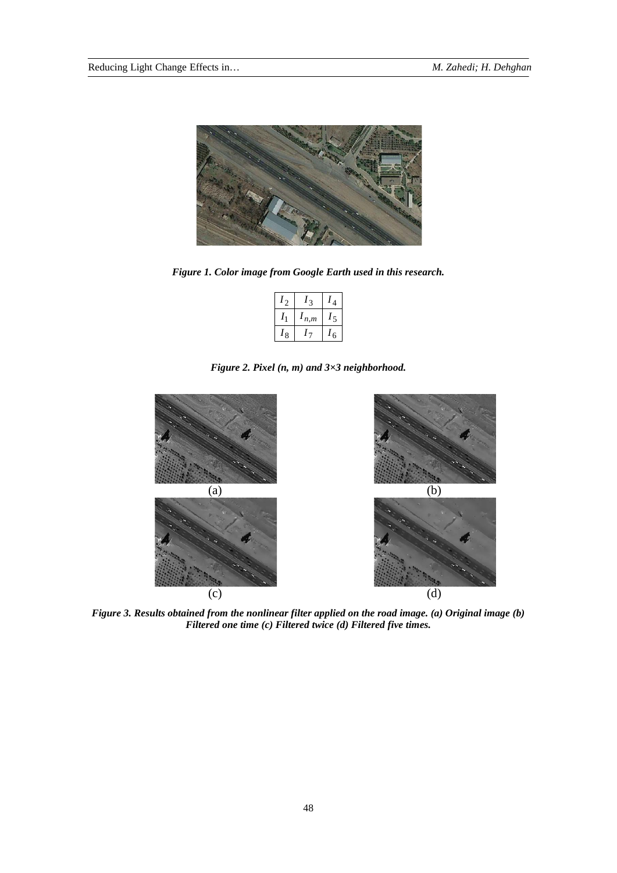

*Figure 1. Color image from Google Earth used in this research.*

|         |     | Λ |
|---------|-----|---|
|         | n,m | ۳ |
| $\circ$ |     | 6 |

*Figure 2. Pixel (n, m) and 3×3 neighborhood.*



*Figure 3. Results obtained from the nonlinear filter applied on the road image. (a) Original image (b) Filtered one time (c) Filtered twice (d) Filtered five times.*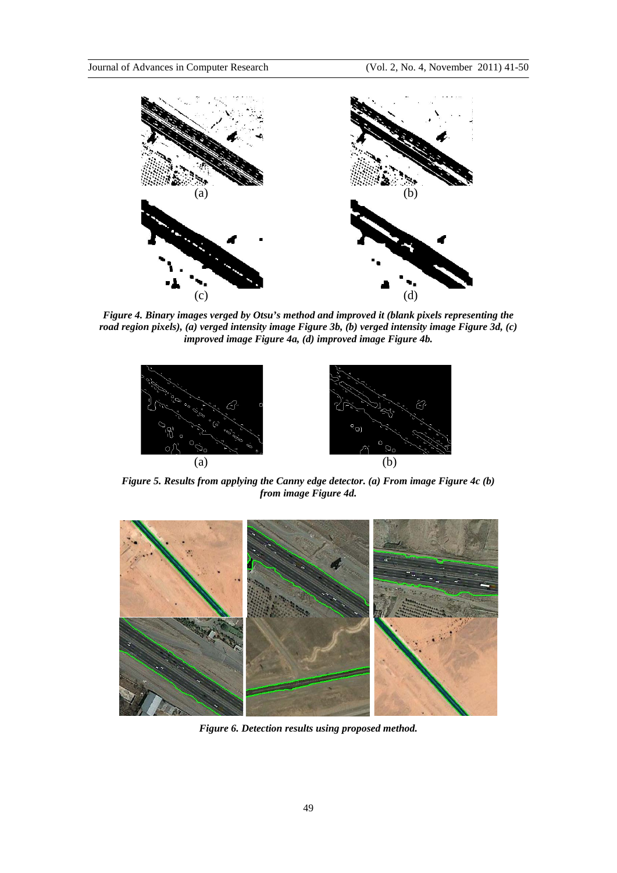

*Figure 4. Binary images verged by Otsu's method and improved it (blank pixels representing the road region pixels), (a) verged intensity image Figure 3b, (b) verged intensity image Figure 3d, (c) improved image Figure 4a, (d) improved image Figure 4b.*



*Figure 5. Results from applying the Canny edge detector. (a) From image Figure 4c (b) from image Figure 4d.*



*Figure 6. Detection results using proposed method.*